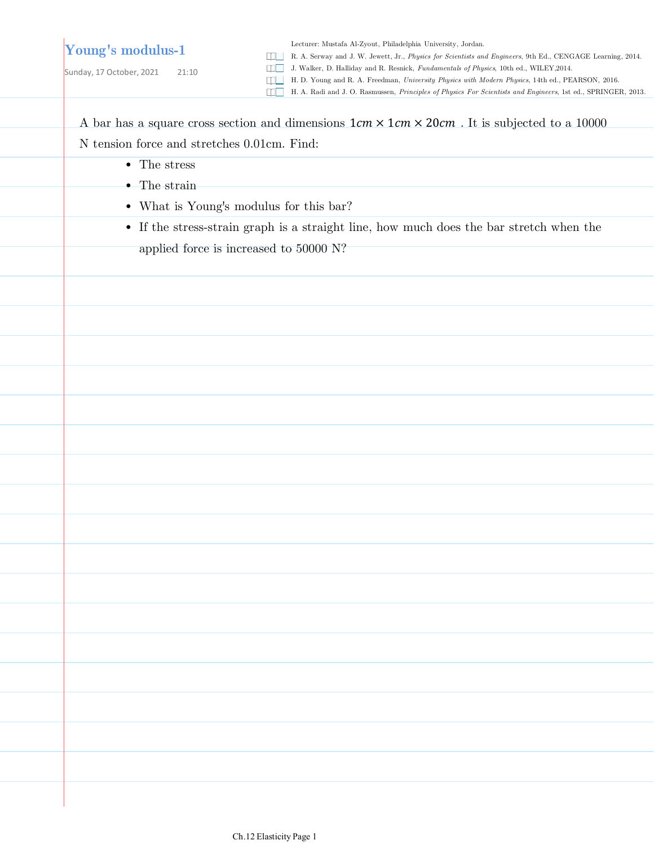### **Young's modulus-1**

Sunday, 17 October, 2021 21:10

Lecturer: Mustafa Al-Zyout, Philadelphia University, Jordan.

R. A. Serway and J. W. Jewett, Jr., *Physics for Scientists and Engineers*, 9th Ed., CENGAGE Learning, 2014.

J. Walker, D. Halliday and R. Resnick, *Fundamentals of Physics*, 10th ed., WILEY,2014.

H. D. Young and R. A. Freedman, *University Physics with Modern Physics*, 14th ed., PEARSON, 2016.

H. A. Radi and J. O. Rasmussen, *Principles of Physics For Scientists and Engineers*, 1st ed., SPRINGER, 2013.

A bar has a square cross section and dimensions  $1cm \times 1cm \times 20cm$ . It is subjected to a 10000 N tension force and stretches 0.01cm. Find:

- The stress
- The strain
- What is Young's modulus for this bar?
- If the stress-strain graph is a straight line, how much does the bar stretch when the

applied force is increased to 50000 N?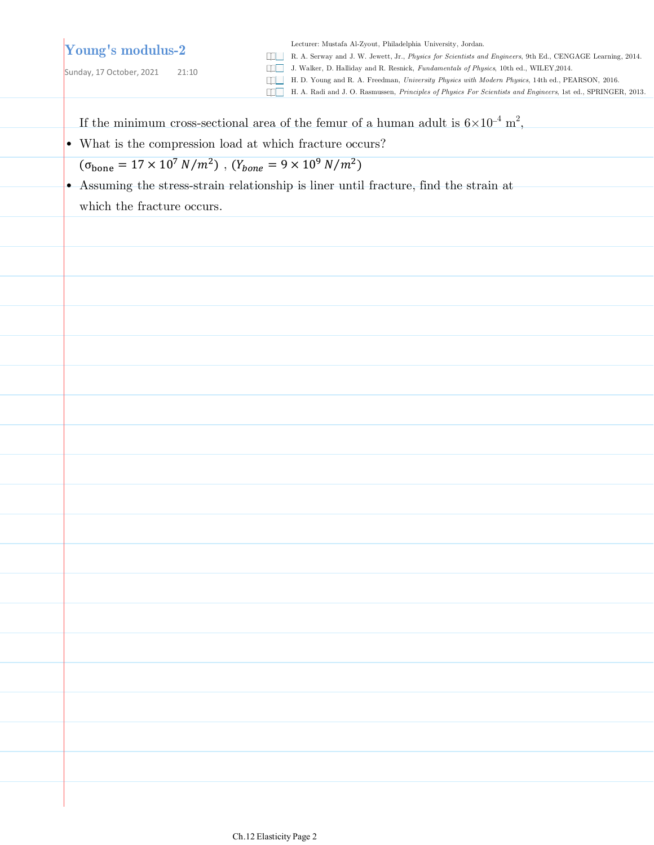# **Young's modulus-2**

Sunday, 17 October, 2021 21:10

Lecturer: Mustafa Al-Zyout, Philadelphia University, Jordan.

R. A. Serway and J. W. Jewett, Jr., *Physics for Scientists and Engineers*, 9th Ed., CENGAGE Learning, 2014.

J. Walker, D. Halliday and R. Resnick, *Fundamentals of Physics*, 10th ed., WILEY,2014.

H. D. Young and R. A. Freedman, *University Physics with Modern Physics*, 14th ed., PEARSON, 2016.

H. A. Radi and J. O. Rasmussen, *Principles of Physics For Scientists and Engineers*, 1st ed., SPRINGER, 2013.

If the minimum cross-sectional area of the femur of a human adult is  $6\times10^{-4}$  m<sup>2</sup>,

• What is the compression load at which fracture occurs?

 $(\sigma_{\text{bone}} = 17 \times 10^7 \text{ N/m}^2)$ ,  $(Y_{\text{bone}} = 9 \times 10^9 \text{ N/m}^2)$ 

Assuming the stress-strain relationship is liner until fracture, find the strain at •

which the fracture occurs.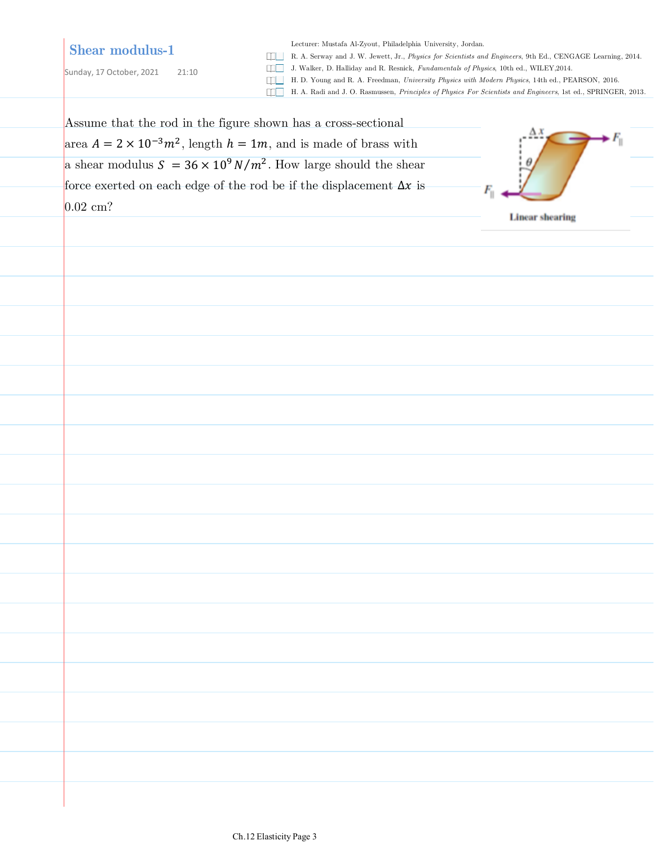# **Shear modulus-1**

Sunday, 17 October, 2021 21:10

Lecturer: Mustafa Al-Zyout, Philadelphia University, Jordan.

R. A. Serway and J. W. Jewett, Jr., *Physics for Scientists and Engineers*, 9th Ed., CENGAGE Learning, 2014.

J. Walker, D. Halliday and R. Resnick, *Fundamentals of Physics*, 10th ed., WILEY,2014.

- H. D. Young and R. A. Freedman, *University Physics with Modern Physics*, 14th ed., PEARSON, 2016.
- H. A. Radi and J. O. Rasmussen, *Principles of Physics For Scientists and Engineers*, 1st ed., SPRINGER, 2013.

| Assume that the rod in the figure shown has a cross-sectional                 |                        |  |
|-------------------------------------------------------------------------------|------------------------|--|
| area $A = 2 \times 10^{-3} m^2$ , length $h = 1m$ , and is made of brass with | $\Delta x$             |  |
| a shear modulus $S = 36 \times 10^9 N/m^2$ . How large should the shear       |                        |  |
| force exerted on each edge of the rod be if the displacement $\Delta x$ is    | $F_{\rm u}$            |  |
| $0.02$ cm?                                                                    | <b>Linear shearing</b> |  |
|                                                                               |                        |  |
|                                                                               |                        |  |
|                                                                               |                        |  |
|                                                                               |                        |  |
|                                                                               |                        |  |
|                                                                               |                        |  |
|                                                                               |                        |  |
|                                                                               |                        |  |
|                                                                               |                        |  |
|                                                                               |                        |  |
|                                                                               |                        |  |
|                                                                               |                        |  |
|                                                                               |                        |  |
|                                                                               |                        |  |
|                                                                               |                        |  |
|                                                                               |                        |  |
|                                                                               |                        |  |
|                                                                               |                        |  |
|                                                                               |                        |  |
|                                                                               |                        |  |
|                                                                               |                        |  |
|                                                                               |                        |  |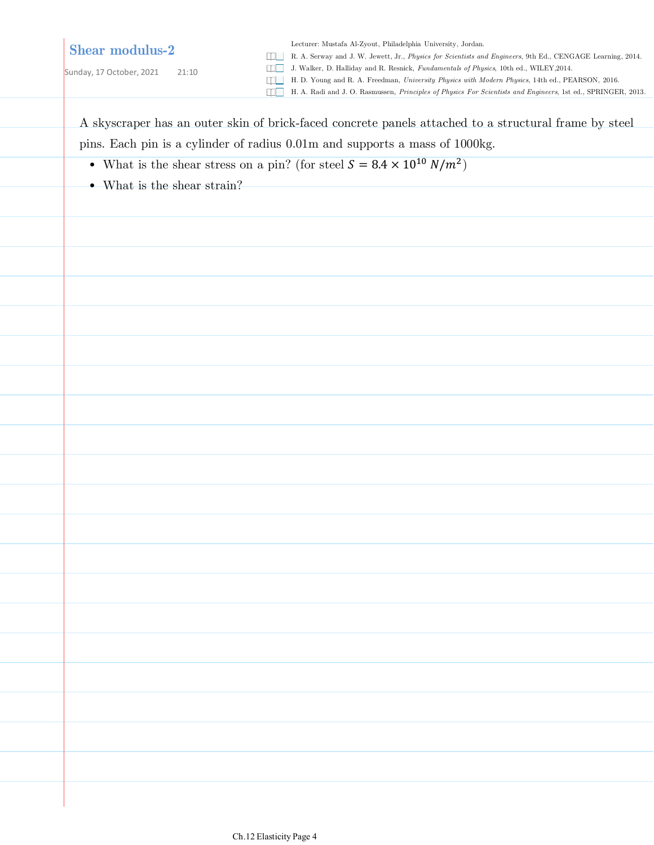### **Shear modulus-2**

Sunday, 17 October, 2021 21:10

Lecturer: Mustafa Al-Zyout, Philadelphia University, Jordan.

R. A. Serway and J. W. Jewett, Jr., *Physics for Scientists and Engineers*, 9th Ed., CENGAGE Learning, 2014.

J. Walker, D. Halliday and R. Resnick, *Fundamentals of Physics*, 10th ed., WILEY,2014.

H. D. Young and R. A. Freedman, *University Physics with Modern Physics*, 14th ed., PEARSON, 2016.

H. A. Radi and J. O. Rasmussen, *Principles of Physics For Scientists and Engineers*, 1st ed., SPRINGER, 2013.

A skyscraper has an outer skin of brick-faced concrete panels attached to a structural frame by steel pins. Each pin is a cylinder of radius 0.01m and supports a mass of 1000kg.

- What is the shear stress on a pin? (for steel  $S = 8.4 \times 10^{10} \; N/m^2$ )
- What is the shear strain?